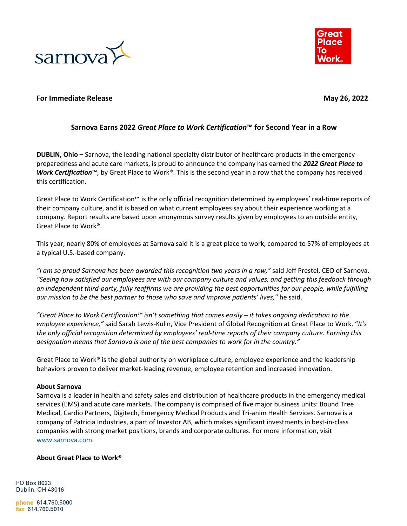



## **For Immediate Release May 26, 2022**

## **Sarnova Earns 2022** *Great Place to Work Certification***™ for Second Year in a Row**

**DUBLIN, Ohio –** Sarnova, the leading national specialty distributor of healthcare products in the emergency preparedness and acute care markets, is proud to announce the company has earned the *2022 Great Place to Work Certification*™, by Great Place to Work®. This is the second year in a row that the company has received this certification.

Great Place to Work Certification™ is the only official recognition determined by employees' real-time reports of their company culture, and it is based on what current employees say about their experience working at a company. Report results are based upon anonymous survey results given by employees to an outside entity, Great Place to Work®.

This year, nearly 80% of employees at Sarnova said it is a great place to work, compared to 57% of employees at a typical U.S.-based company.

*"I am so proud Sarnova has been awarded this recognition two years in a row,"* said Jeff Prestel, CEO of Sarnova. *"Seeing how satisfied our employees are with our company culture and values, and getting this feedback through an independent third-party, fully reaffirms we are providing the best opportunities for our people, while fulfilling our mission to be the best partner to those who save and improve patients' lives,"* he said.

*"Great Place to Work Certification™ isn't something that comes easily – it takes ongoing dedication to the employee experience,"* said Sarah Lewis-Kulin, Vice President of Global Recognition at Great Place to Work. "*It's the only official recognition determined by employees' real-time reports of their company culture. Earning this designation means that Sarnova is one of the best companies to work for in the country."*

Great Place to Work<sup>®</sup> is the global authority on workplace culture, employee experience and the leadership behaviors proven to deliver market-leading revenue, employee retention and increased innovation.

## **About Sarnova**

Sarnova is a leader in health and safety sales and distribution of healthcare products in the emergency medical services (EMS) and acute care markets. The company is comprised of five major business units: Bound Tree Medical, Cardio Partners, Digitech, Emergency Medical Products and Tri-anim Health Services. Sarnova is a company of Patricia Industries, a part of Investor AB, which makes significant investments in best-in-class companies with strong market positions, brands and corporate cultures. For more information, visit www.sarnova.com.

## **About Great Place to Work®**

PO Box 8023 Dublin, OH 43016

phone 614.760.5000 fax 614.760.5010